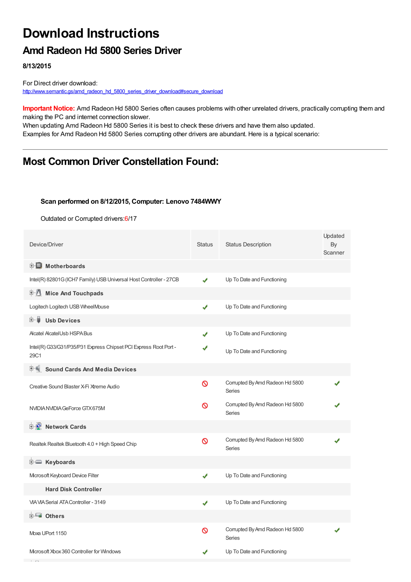# **Download Instructions**

# **Amd Radeon Hd 5800 Series Driver**

**8/13/2015**

For Direct driver download: [http://www.semantic.gs/amd\\_radeon\\_hd\\_5800\\_series\\_driver\\_download#secure\\_download](http://www.semantic.gs/amd_radeon_hd_5800_series_driver_download#secure_download)

**Important Notice:** Amd Radeon Hd 5800 Series often causes problems with other unrelated drivers, practically corrupting them and making the PC and internet connection slower.

When updating Amd Radeon Hd 5800 Series it is best to check these drivers and have them also updated. Examples for Amd Radeon Hd 5800 Series corrupting other drivers are abundant. Here is a typical scenario:

# **Most Common Driver Constellation Found:**

#### **Scan performed on 8/12/2015, Computer: Lenovo 7484WWY**

Outdated or Corrupted drivers:6/17

| Device/Driver                                                            | <b>Status</b> | <b>Status Description</b>                        | Updated<br>By<br>Scanner |
|--------------------------------------------------------------------------|---------------|--------------------------------------------------|--------------------------|
| <b>E</b> Motherboards                                                    |               |                                                  |                          |
| Intel(R) 82801G (ICH7 Family) USB Universal Host Controller - 27CB       | ✔             | Up To Date and Functioning                       |                          |
| <b>Mice And Touchpads</b><br>田川                                          |               |                                                  |                          |
| Logitech Logitech USB WheelMouse                                         | ✔             | Up To Date and Functioning                       |                          |
| <b>Usb Devices</b><br>⊞…∎                                                |               |                                                  |                          |
| <b>Alcatel AlcatelUsb HSPA Bus</b>                                       | J             | Up To Date and Functioning                       |                          |
| Intel(R) G33/G31/P35/P31 Express Chipset PCI Express Root Port -<br>29C1 |               | Up To Date and Functioning                       |                          |
| <b>Sound Cards And Media Devices</b><br>田一県                              |               |                                                  |                          |
| Creative Sound Blaster X-Fi Xtreme Audio                                 | ര             | Corrupted By Amd Radeon Hd 5800<br><b>Series</b> |                          |
| NVIDIA NVIDIA GeForce GTX 675M                                           | ∾             | Corrupted By Amd Radeon Hd 5800<br><b>Series</b> |                          |
| <b>E</b> Network Cards                                                   |               |                                                  |                          |
| Realtek Realtek Bluetooth 4.0 + High Speed Chip                          | Ø             | Corrupted By Amd Radeon Hd 5800<br><b>Series</b> |                          |
| E Keyboards                                                              |               |                                                  |                          |
| Mcrosoft Keyboard Device Filter                                          | ✔             | Up To Date and Functioning                       |                          |
| <b>Hard Disk Controller</b>                                              |               |                                                  |                          |
| VIA VIA Serial ATA Controller - 3149                                     | ✔             | Up To Date and Functioning                       |                          |
| 由 <b>Lu</b> Others                                                       |               |                                                  |                          |
| Moxa UPort 1150                                                          | Ø             | Corrupted By Amd Radeon Hd 5800<br>Series        |                          |
| Microsoft Xbox 360 Controller for Windows                                |               | Up To Date and Functioning                       |                          |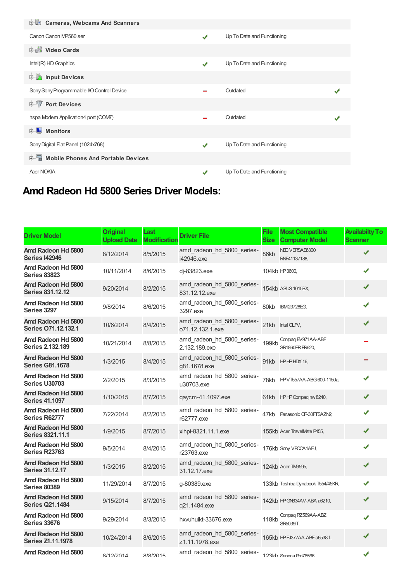| <b>D</b> Cameras, Webcams And Scanners      |               |                            |  |
|---------------------------------------------|---------------|----------------------------|--|
| Canon Canon MP560 ser                       | ✔             | Up To Date and Functioning |  |
| <b>Dideo Cards</b>                          |               |                            |  |
| Intel(R) HD Graphics                        | ✔             | Up To Date and Functioning |  |
| <b>E</b> Input Devices                      |               |                            |  |
| Sony Sony Programmable I/O Control Device   |               | Outdated                   |  |
| <b>E-TP</b> Port Devices                    |               |                            |  |
| hspa Modem Application4 port (COM7)         |               | Outdated                   |  |
| 中 Monitors                                  |               |                            |  |
| Sony Digital Flat Panel (1024x768)          | $\mathcal{L}$ | Up To Date and Functioning |  |
| <b>E-Mobile Phones And Portable Devices</b> |               |                            |  |
| <b>Acer NOKIA</b>                           |               | Up To Date and Functioning |  |

# **Amd Radeon Hd 5800 Series Driver Models:**

| <b>Driver Model</b>                           | <b>Original</b><br><b>Upload Date</b> | Last<br><b>Modification</b> | <b>Driver File</b>                             | File<br><b>Size</b> | <b>Most Compatible</b><br><b>Computer Model</b> | <b>Availabilty To</b><br><b>Scanner</b> |
|-----------------------------------------------|---------------------------------------|-----------------------------|------------------------------------------------|---------------------|-------------------------------------------------|-----------------------------------------|
| Amd Radeon Hd 5800<br><b>Series I42946</b>    | 8/12/2014                             | 8/5/2015                    | amd_radeon_hd_5800_series-<br>i42946.exe       | 86kb                | NEC VERSAE6300<br>RNF41137188.                  | ✔                                       |
| Amd Radeon Hd 5800<br><b>Series 83823</b>     | 10/11/2014                            | 8/6/2015                    | di-83823.exe                                   |                     | 104kb HP3600,                                   | ✔                                       |
| Amd Radeon Hd 5800<br><b>Series 831.12.12</b> | 9/20/2014                             | 8/2/2015                    | amd_radeon_hd_5800_series-<br>831.12.12.exe    |                     | 154kb ASUS 1015BX,                              | ✔                                       |
| Amd Radeon Hd 5800<br>Series 3297             | 9/8/2014                              | 8/6/2015                    | amd_radeon_hd_5800_series-<br>3297.exe         | 80kb                | <b>IBM23728EG,</b>                              | ✔                                       |
| Amd Radeon Hd 5800<br>Series 071.12.132.1     | 10/6/2014                             | 8/4/2015                    | amd_radeon_hd_5800_series-<br>o71.12.132.1.exe | 21kb                | Intel OLFV,                                     | ✔                                       |
| Amd Radeon Hd 5800<br><b>Series 2.132.189</b> | 10/21/2014                            | 8/8/2015                    | amd radeon hd 5800 series-<br>2.132.189.exe    | 199kb               | Compaq EV971AA-ABF<br>SR1860FRFR620.            |                                         |
| Amd Radeon Hd 5800<br><b>Series G81.1678</b>  | 1/3/2015                              | 8/4/2015                    | amd_radeon_hd_5800_series-<br>q81.1678.exe     | 91kb                | HPHPHDX 16,                                     |                                         |
| Amd Radeon Hd 5800<br><b>Series U30703</b>    | 2/2/2015                              | 8/3/2015                    | amd_radeon_hd_5800_series-<br>u30703.exe       | 78kb                | HPVT557AA-ABG600-1150a,                         | ✔                                       |
| Amd Radeon Hd 5800<br><b>Series 41.1097</b>   | 1/10/2015                             | 8/7/2015                    | qaycm-41.1097.exe                              |                     | 61kb HPHPCompag nw 8240,                        | ✔                                       |
| Amd Radeon Hd 5800<br>Series R62777           | 7/22/2014                             | 8/2/2015                    | amd_radeon_hd_5800_series-<br>r62777.exe       | 47kb                | Panasonic CF-30FTSAZN2,                         | ✔                                       |
| Amd Radeon Hd 5800<br><b>Series 8321.11.1</b> | 1/9/2015                              | 8/7/2015                    | xihpi-8321.11.1.exe                            |                     | 155kb Acer TravelMate P455,                     | ✔                                       |
| Amd Radeon Hd 5800<br><b>Series R23763</b>    | 9/5/2014                              | 8/4/2015                    | amd radeon hd 5800 series-<br>r23763.exe       |                     | 176kb Sony VPOCA1AFJ,                           | ✔                                       |
| Amd Radeon Hd 5800<br><b>Series 31.12.17</b>  | 1/3/2015                              | 8/2/2015                    | amd radeon hd 5800 series-<br>31.12.17.exe     |                     | 124kb Acer TM6595,                              | ✔                                       |
| Amd Radeon Hd 5800<br><b>Series 80389</b>     | 11/29/2014                            | 8/7/2015                    | q-80389.exe                                    |                     | 133kb Toshiba Dynabook T554/45KR,               | ✔                                       |
| Amd Radeon Hd 5800<br><b>Series Q21.1484</b>  | 9/15/2014                             | 8/7/2015                    | amd_radeon_hd_5800_series-<br>q21.1484.exe     |                     | 142kb HP GN634AV-ABA a6210,                     | ✔                                       |
| Amd Radeon Hd 5800<br><b>Series 33676</b>     | 9/29/2014                             | 8/3/2015                    | hxvuhuikt-33676.exe                            | 118kb               | Compaq RZ569AA-ABZ<br><b>SR5039IT.</b>          | ✔                                       |
| Amd Radeon Hd 5800<br>Series Z1.11.1978       | 10/24/2014                            | 8/6/2015                    | amd_radeon_hd_5800_series-<br>z1.11.1978.exe   |                     | 165kb HPFJ377AA-ABF a6538.f,                    | ✔                                       |
| Amd Radeon Hd 5800                            | R/19/901A                             | R/R/2015                    | amd_radeon_hd_5800_series-                     |                     | 193kh Sanara Pro76566                           | ✔                                       |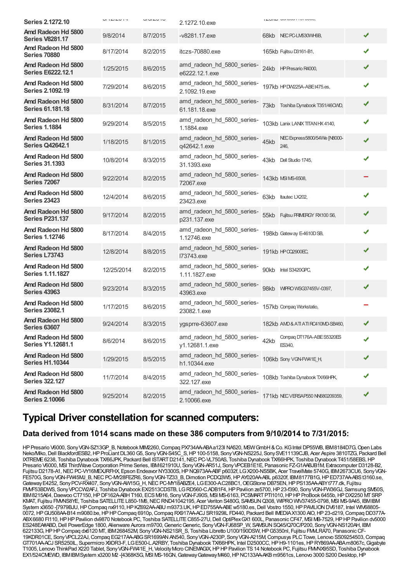| <b>Series 2.1272.10</b>                        | U11L1L1    | U1U1U1U  | 2.1272.10.exe                                |      | <b>ILUINU WINNUTTUI VUVU</b>         |   |
|------------------------------------------------|------------|----------|----------------------------------------------|------|--------------------------------------|---|
| Amd Radeon Hd 5800<br><b>Series V8281.17</b>   | 9/8/2014   | 8/7/2015 | -v8281.17.exe                                |      | 68kb NEC PC-LM530WH6B,               | ✔ |
| Amd Radeon Hd 5800<br><b>Series 70880</b>      | 8/17/2014  | 8/2/2015 | itczs-70880.exe                              |      | 165kb Fujitsu D3161-B1,              | ✔ |
| Amd Radeon Hd 5800<br><b>Series E6222.12.1</b> | 1/25/2015  | 8/6/2015 | amd radeon hd 5800 series-<br>e6222.12.1.exe | 24kb | HP Presario R4000,                   | ✔ |
| Amd Radeon Hd 5800<br><b>Series 2.1092.19</b>  | 7/29/2014  | 8/6/2015 | amd_radeon_hd_5800_series-<br>2.1092.19.exe  |      | 197kb HPDW225A-ABEt475.es,           | ✔ |
| Amd Radeon Hd 5800<br><b>Series 61.181.18</b>  | 8/31/2014  | 8/7/2015 | amd_radeon_hd_5800_series-<br>61.181.18.exe  | 73kb | Toshiba Dynabook T351/46CWD,         | ✔ |
| Amd Radeon Hd 5800<br><b>Series 1.1884</b>     | 9/29/2014  | 8/5/2015 | amd_radeon_hd_5800_series-<br>1.1884.exe     |      | 103kb Lanix LANIX TITAN HX 4140,     | ✔ |
| Amd Radeon Hd 5800<br><b>Series Q42642.1</b>   | 1/18/2015  | 8/1/2015 | amd_radeon_hd_5800_series-<br>q42642.1.exe   | 45kb | NEC Express5800/54We [N8000-<br>246. | ✔ |
| Amd Radeon Hd 5800<br><b>Series 31.1393</b>    | 10/8/2014  | 8/3/2015 | amd radeon hd 5800 series-<br>31.1393.exe    | 43kb | Dell Studio 1745,                    | ✔ |
| Amd Radeon Hd 5800<br><b>Series 72067</b>      | 9/22/2014  | 8/2/2015 | amd radeon hd 5800 series-<br>72067.exe      |      | 143kb MSI MS-6508,                   |   |
| Amd Radeon Hd 5800<br><b>Series 23423</b>      | 12/4/2014  | 8/6/2015 | amd radeon hd 5800 series-<br>23423.exe      | 63kb | Itautec LX202.                       | ✔ |
| Amd Radeon Hd 5800<br><b>Series P231.137</b>   | 9/17/2014  | 8/2/2015 | amd_radeon_hd_5800_series-<br>p231.137.exe   | 55kb | Fujitsu PRIMERGY RX100 S6,           | ✔ |
| Amd Radeon Hd 5800<br><b>Series 1.12746</b>    | 8/17/2014  | 8/4/2015 | amd_radeon_hd_5800_series-<br>1.12746.exe    |      | 198kb Gateway E-4610DSB,             | ✔ |
| Amd Radeon Hd 5800<br><b>Series L73743</b>     | 12/8/2014  | 8/8/2015 | amd radeon hd 5800 series-<br>173743.exe     |      | 191kb HP CO2900EC,                   | ✔ |
| Amd Radeon Hd 5800<br><b>Series 1.11.1827</b>  | 12/25/2014 | 8/2/2015 | amd_radeon_hd_5800_series-<br>1.11.1827.exe  | 90kb | Intel S3420GPC,                      | ✔ |
| Amd Radeon Hd 5800<br><b>Series 43963</b>      | 9/23/2014  | 8/3/2015 | amd_radeon_hd_5800_series-<br>43963.exe      |      |                                      | ✔ |
| Amd Radeon Hd 5800<br><b>Series 23082.1</b>    | 1/17/2015  | 8/6/2015 | amd_radeon_hd_5800_series-<br>23082.1.exe    |      | 157kb Compag Workstatio,             |   |
| Amd Radeon Hd 5800<br><b>Series 63607</b>      | 9/24/2014  | 8/3/2015 | ygsprre-63607.exe                            |      | 182kb AMD& ATI ATI RC410MD-SB460,    |   |
| Amd Radeon Hd 5800<br><b>Series Y1.12681.1</b> | 8/6/2014   | 8/6/2015 | amd_radeon_hd_5800_series-<br>y1.12681.1.exe | 42kb | Compag DT176A-ABE S5320ES<br>ES340,  | ✔ |
| Amd Radeon Hd 5800<br><b>Series H1.10344</b>   | 1/29/2015  | 8/5/2015 | amd_radeon_hd_5800_series-<br>h1.10344.exe   |      | 106kb Sony VGN-FW41E_H,              |   |
| Amd Radeon Hd 5800<br><b>Series 322.127</b>    | 11/7/2014  | 8/4/2015 | amd radeon hd 5800 series-<br>322.127.exe    |      | 108kb Toshiba Dynabook TX/66HPK,     |   |
| Amd Radeon Hd 5800<br><b>Series 2.10066</b>    | 9/25/2014  | 8/2/2015 | amd_radeon_hd_5800_series-<br>2.10066.exe    |      | 171kb NEC VERSAP550 NN680209359,     | ✔ |

### **Typical Driver constellation for scanned computers:**

#### **Data derived from 1014 scans made on these 386 computers from 9/10/2014 to 7/31/2015:**

HP Presario V6000, Sony VGN-SZ13GP\_B, Notebook MIM2260, Compaq PX734AA-BAa123l NA520, MSW GmbH & Co. KG Intel DP55WB, IBM8184D7G, Open Labs Neko/Miko, Dell BlackfordESB2, HP ProLiant DL360 G5, Sony VGN-S45C S, HP 100-5158, Sony VGN-NS225J, Sony SVE11139CJB, Acer Aspire 3810TZG, Packard Bell IXTREME6238, Toshiba Dynabook TX/66JPK, Packard Bell ISTARTD2141,NECPC-VL750AS, Toshiba Dynabook TX/66HPK, Toshiba Dynabook T451/58EBS,HP Presario V6000, MSI ThirdWave Corporation Prime Series, IBM621910U, Sony VGN-AR51J, Sony VPCEB1E1E, Panasonic FZ-G1AABJB1M, Extracomputer D3128-B2, Fujitsu D2178-A1, NEC PC-VY16MEXJRFHX, Epson Endeavor NY3300S, HP NQ973AA-ABF p6032f, LG X200-NS5BK, Acer TravelMate 5740G, IBM2673CU6, Sony VGN-FE570G, Sony VGN-FW45MJ\_B, NEC PC-MY28FEZR6, Sony VGN-TZ33\_B, Dimotion PCDQ3W5, HP AY020AA-ABL p6320f, IBM8177B1G, HP ED737AA-ABSt3160.se, Gateway E4252, Sony PCV-RX407, Sony VGN-AW15G\_H, NEC PC-MY18ABZE4, LG E300-A.C28BC1, OEGStone DB75EN, HP PS135AA-ABYt777.dk, Fujitsu FMVF53BDWS, SonyVPCCW2AFJ, Toshiba Dynabook EX/2513CDSTB, LGRD560-C.ADB1F4,HPPavilion ze5700,HP23-f390, SonyVGN-FW36GJ, Samsung SM50S, IBM8215A64,Daewoo CT7150,HPDF162A-ABHT160, ECSM916, SonyVGN-FJ90S, MSI MS-6163, PCSMARTPTI1010,HPHPProBook 6455b,HPDX2250 MTSRP KMAT, Fujitsu FMMS8YE, Toshiba SATELLITE L850-1M6, NEC RND41042195, Acer Veriton S480G, SAMSUN Q308, WIPRO WIV37455-0798, MSI MS-9A45, IBMIBM System x3650 -[7979BJU, HP Compaq nx9110, HP KZ692AA-ABU m9373.UK, HP ED755AA-ABE w5180.es, Dell Vostro 1550, HP PAVILION DV6187, Intel WIV68805-0072, HP GU508AA-B14 m9080.be, HP HP Compaq 6910p, Compaq RX917AA-ACJ SR1929IL FD440, Packard Bell IMEDIA X1300 AIO, HP 23-d219, Compaq DD377A-ABX6680 FI110,HPHPPavilion dv9870 Notebook PC, Toshiba SATELLITEC855-27U,Dell OptiPlexGX1 600L, PanasonicCF47, MSI MB-7529,HPHPPavilion dv5000 ES248EA#ABD, Dell PowerEdge 1800, Alienware Aurora m9700, Generic Generic, Sony VGN-FJ68SP\_W, SAMSUN SQ45/Q70C/P200, Sony VGN-NS120AH, IBM 622133G,HPHPCompaq dx6120 MT, IBM268452M, SonyVGN-NS21SR\_S, Toshiba Libretto U100/190DSW,HPG5350nl, Fujitsu FMVLRA70, PanasonicCF-19KDR01CE, SonyVPCL22AJ,Compaq EG217AA-ABGSR1699ANAN540, SonyVGN-A230P, SonyVGN-A215M,Compusys PLCTowe, Lenovo SS09254503,Compaq GT701AA-ACJ SR5250IL, Supermicro X9DR3-F, LGE500-L.A2RBY, Toshiba Dynabook TX/66HPK, Intel D2500CC,HPH9-1101es,HPRY869AA-ABAm8067c,Gigabyte T1005, Lenovo ThinkPad X220 Tablet, Sony VGN-FW41E\_H, Velocity Micro CINEMAGIX, HP HP Pavilion TS 14 Notebook PC, Fujitsu FMMX95SD, Toshiba Dynabook EX1/524CMEWD, IBM IBM System x3200 M2 -[4368K5G, MSI MS-16GN, Gateway Gateway M460, HP NC133AA-AKB m9561cs, Lenovo 3000 S200 Desktop, HP